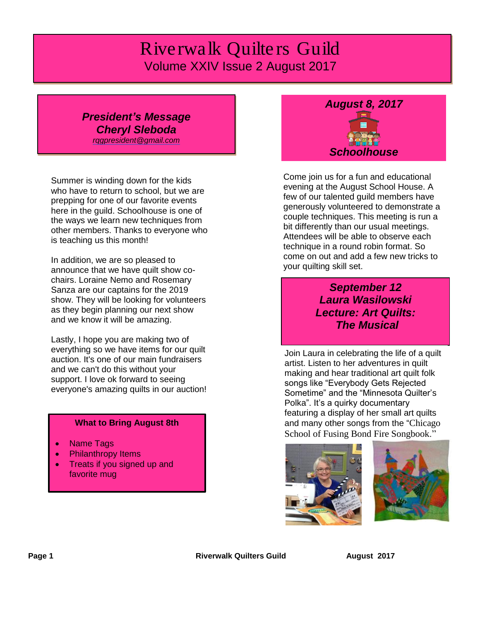# *Riverwalk Quilters Guild* Volume XXIV Issue 2 August 2017

### *President's Message Cheryl Sleboda [rqgpresident@gmail.com](mailto:rqgpresident@gmail.com)*

Summer is winding down for the kids who have to return to school, but we are prepping for one of our favorite events here in the guild. Schoolhouse is one of the ways we learn new techniques from other members. Thanks to everyone who is teaching us this month!

In addition, we are so pleased to announce that we have quilt show cochairs. Loraine Nemo and Rosemary Sanza are our captains for the 2019 show. They will be looking for volunteers as they begin planning our next show and we know it will be amazing.

Lastly, I hope you are making two of everything so we have items for our quilt auction. It's one of our main fundraisers and we can't do this without your support. I love ok forward to seeing everyone's amazing quilts in our auction!

#### **What to Bring August 8th**

- Name Tags
- Philanthropy Items
- Treats if you signed up and favorite mug



Come join us for a fun and educational evening at the August School House. A few of our talented guild members have generously volunteered to demonstrate a couple techniques. This meeting is run a bit differently than our usual meetings. Attendees will be able to observe each technique in a round robin format. So come on out and add a few new tricks to your quilting skill set.

> *September 12 Laura Wasilowski Lecture: Art Quilts: The Musical*

Join Laura in celebrating the life of a quilt artist. Listen to her adventures in quilt making and hear traditional art quilt folk songs like "Everybody Gets Rejected Sometime" and the "Minnesota Quilter's Polka". It's a quirky documentary featuring a display of her small art quilts and many other songs from the "Chicago School of Fusing Bond Fire Songbook."





Page 1 **Riverwalk Quilters Guild August 2017**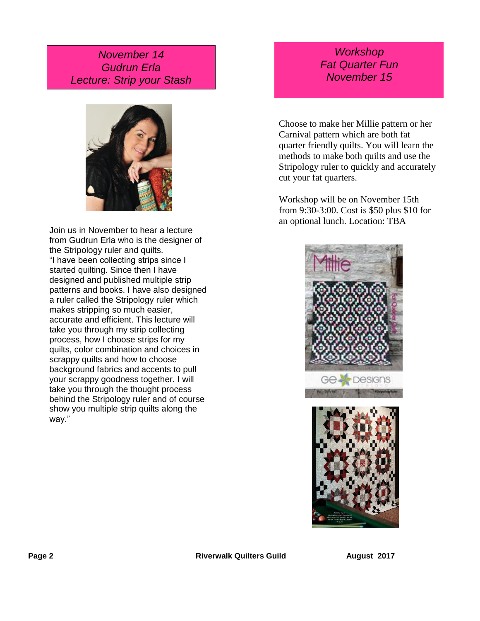*November 14 Gudrun Erla Lecture: Strip your Stash*



Join us in November to hear a lecture from Gudrun Erla who is the designer of the Stripology ruler and quilts. "I have been collecting strips since I started quilting. Since then I have designed and published multiple strip patterns and books. I have also designed a ruler called the Stripology ruler which makes stripping so much easier, accurate and efficient. This lecture will take you through my strip collecting process, how I choose strips for my quilts, color combination and choices in scrappy quilts and how to choose background fabrics and accents to pull your scrappy goodness together. I will take you through the thought process behind the Stripology ruler and of course show you multiple strip quilts along the way."

*Workshop Fat Quarter Fun November 15*

Choose to make her Millie pattern or her Carnival pattern which are both fat quarter friendly quilts. You will learn the methods to make both quilts and use the Stripology ruler to quickly and accurately cut your fat quarters.

Workshop will be on November 15th from 9:30-3:00. Cost is \$50 plus \$10 for an optional lunch. Location: TBA





Page 2 **Riverwalk Quilters Guild** August 2017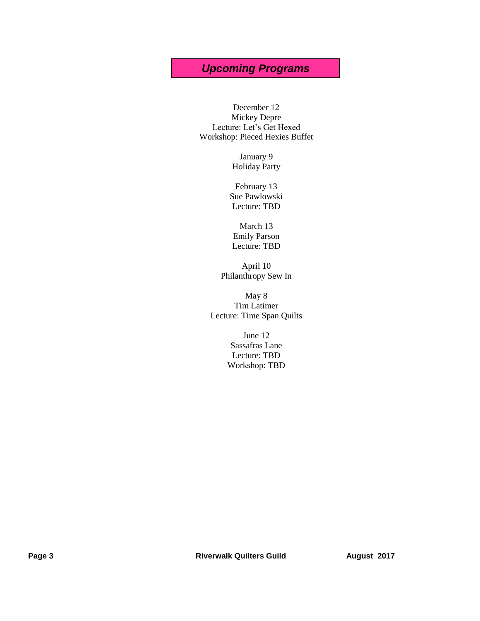## *Upcoming Programs*

December 12 Mickey Depre Lecture: Let's Get Hexed Workshop: Pieced Hexies Buffet

> January 9 Holiday Party

February 13 Sue Pawlowski Lecture: TBD

March 13 Emily Parson Lecture: TBD

April 10 Philanthropy Sew In

May 8 Tim Latimer Lecture: Time Span Quilts

> June 12 Sassafras Lane Lecture: TBD Workshop: TBD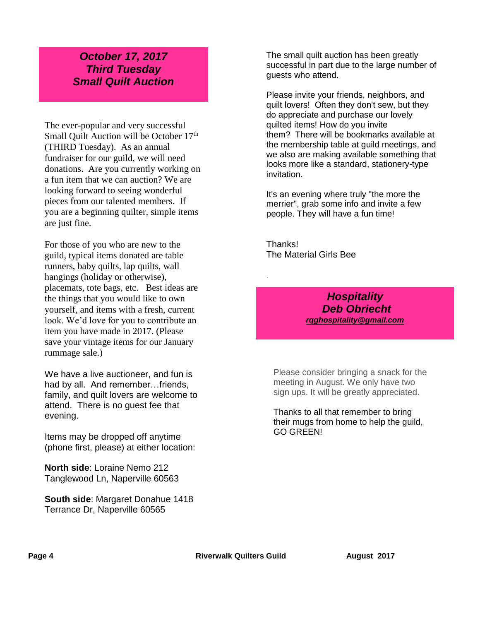## *October 17, 2017 Third Tuesday Small Quilt Auction*

The ever-popular and very successful Small Quilt Auction will be October 17<sup>th</sup> (THIRD Tuesday). As an annual fundraiser for our guild, we will need donations. Are you currently working on a fun item that we can auction? We are looking forward to seeing wonderful pieces from our talented members. If you are a beginning quilter, simple items are just fine.

For those of you who are new to the guild, typical items donated are table runners, baby quilts, lap quilts, wall hangings (holiday or otherwise), placemats, tote bags, etc. Best ideas are the things that you would like to own yourself, and items with a fresh, current look. We'd love for you to contribute an item you have made in 2017. (Please save your vintage items for our January rummage sale.)

We have a live auctioneer, and fun is had by all. And remember…friends, family, and quilt lovers are welcome to attend. There is no guest fee that evening.

Items may be dropped off anytime (phone first, please) at either location:

**North side**: Loraine Nemo 212 Tanglewood Ln, Naperville 60563

**South side**: Margaret Donahue 1418 Terrance Dr, Naperville 60565

The small quilt auction has been greatly successful in part due to the large number of guests who attend.

Please invite your friends, neighbors, and quilt lovers! Often they don't sew, but they do appreciate and purchase our lovely quilted items! How do you invite them? There will be bookmarks available at the membership table at guild meetings, and we also are making available something that looks more like a standard, stationery-type invitation.

It's an evening where truly "the more the merrier", grab some info and invite a few people. They will have a fun time!

Thanks! The Material Girls Bee

.

*Hospitality Deb Obriecht [rqghospitality@gmail.com](file:///C:/Users/Sandra/Documents/RQG%20Newsletter/rqghospitality@gmail.com)*

Please consider bringing a snack for the meeting in August. We only have two sign ups. It will be greatly appreciated.

Thanks to all that remember to bring their mugs from home to help the guild, GO GREEN!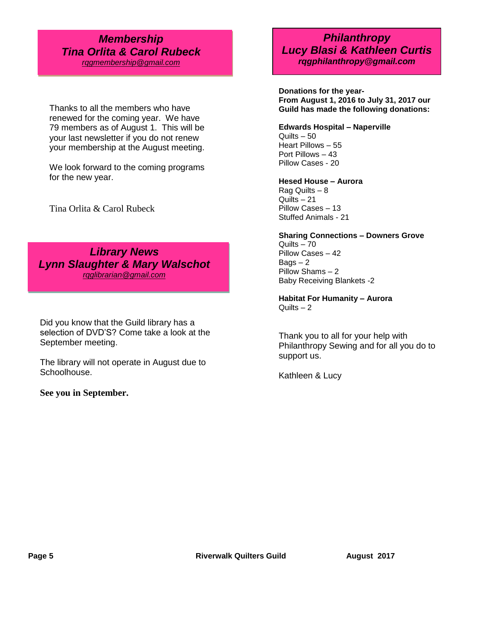*Membership Tina Orlita & Carol Rubeck [rqgmembership@gmail.com](mailto:rqgmembership@gmail.com)*

Thanks to all the members who have renewed for the coming year. We have 79 members as of August 1. This will be your last newsletter if you do not renew your membership at the August meeting.

We look forward to the coming programs for the new year.

Tina Orlita & Carol Rubeck

*Library News Lynn Slaughter & Mary Walschot [rqglibrarian@gmail.com](mailto:rqglibrarian@gmail.com)*

Did you know that the Guild library has a selection of DVD'S? Come take a look at the September meeting.

The library will not operate in August due to Schoolhouse.

#### **See you in September.**

*Philanthropy Lucy Blasi & Kathleen Curtis rqgphilanthropy@gmail.com*

**Donations for the year-From August 1, 2016 to July 31, 2017 our Guild has made the following donations:**

#### **Edwards Hospital – Naperville**

Quilts – 50 Heart Pillows – 55 Port Pillows – 43 Pillow Cases - 20

**Hesed House – Aurora** Rag Quilts – 8 Quilts – 21

Pillow Cases – 13 Stuffed Animals - 21

#### **Sharing Connections – Downers Grove**

Quilts – 70 Pillow Cases – 42  $Bags - 2$ Pillow Shams – 2 Baby Receiving Blankets -2

**Habitat For Humanity – Aurora**  $Quilts - 2$ 

Thank you to all for your help with Philanthropy Sewing and for all you do to support us.

Kathleen & Lucy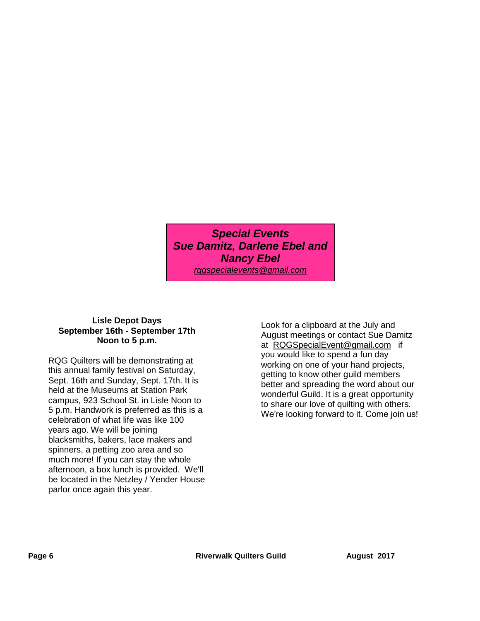*Special Events Sue Damitz, Darlene Ebel and Nancy Ebel rqgspecialevents@gmail.com*

#### **Lisle Depot Days September 16th - September 17th Noon to 5 p.m.**

RQG Quilters will be demonstrating at this annual family festival on Saturday, Sept. 16th and Sunday, Sept. 17th. It is held at the Museums at Station Park campus, 923 School St. in Lisle Noon to 5 p.m. Handwork is preferred as this is a celebration of what life was like 100 years ago. We will be joining blacksmiths, bakers, lace makers and spinners, a petting zoo area and so much more! If you can stay the whole afternoon, a box lunch is provided. We'll be located in the Netzley / Yender House parlor once again this year.

Look for a clipboard at the July and August meetings or contact Sue Damitz at [RQGSpecialEvent@gmail.com](mailto:RQGSpecialEvent@gmail.com) if you would like to spend a fun day working on one of your hand projects, getting to know other guild members better and spreading the word about our wonderful Guild. It is a great opportunity to share our love of quilting with others. We're looking forward to it. Come join us!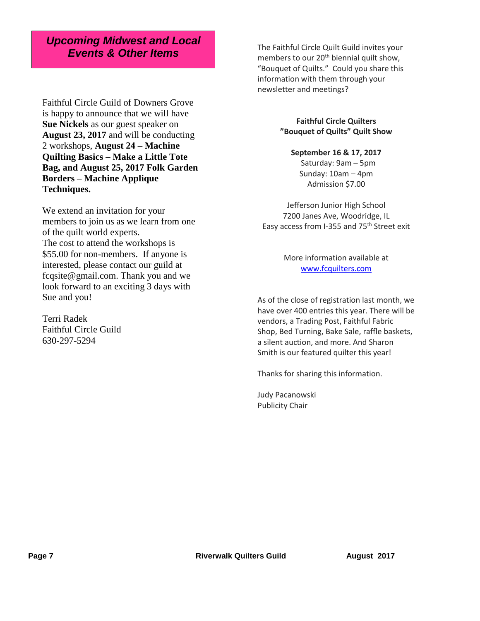Faithful Circle Guild of Downers Grove is happy to announce that we will have **Sue Nickels** as our guest speaker on **August 23, 2017** and will be conducting 2 workshops, **August 24 – Machine Quilting Basics – Make a Little Tote Bag, and August 25, 2017 Folk Garden Borders – Machine Applique Techniques.**

We extend an invitation for your members to join us as we learn from one of the quilt world experts. The cost to attend the workshops is \$55.00 for non-members. If anyone is interested, please contact our guild at [fcqsite@gmail.com.](mailto:fcqsite@gmail.com) Thank you and we look forward to an exciting 3 days with Sue and you!

Terri Radek Faithful Circle Guild 630-297-5294

**Events & Other Items** The Faithful Circle Quilt Guild invites your members to our 20<sup>th</sup> biennial quilt show, "Bouquet of Quilts." Could you share this information with them through your newsletter and meetings?

> **Faithful Circle Quilters "Bouquet of Quilts" Quilt Show**

**September 16 & 17, 2017**

Saturday: 9am – 5pm Sunday: 10am – 4pm Admission \$7.00

Jefferson Junior High School 7200 Janes Ave, Woodridge, IL Easy access from I-355 and 75<sup>th</sup> Street exit

> More information available at [www.fcquilters.com](http://www.fcquilters.com/)

As of the close of registration last month, we have over 400 entries this year. There will be vendors, a Trading Post, Faithful Fabric Shop, Bed Turning, Bake Sale, raffle baskets, a silent auction, and more. And Sharon Smith is our featured quilter this year!

Thanks for sharing this information.

Judy Pacanowski Publicity Chair